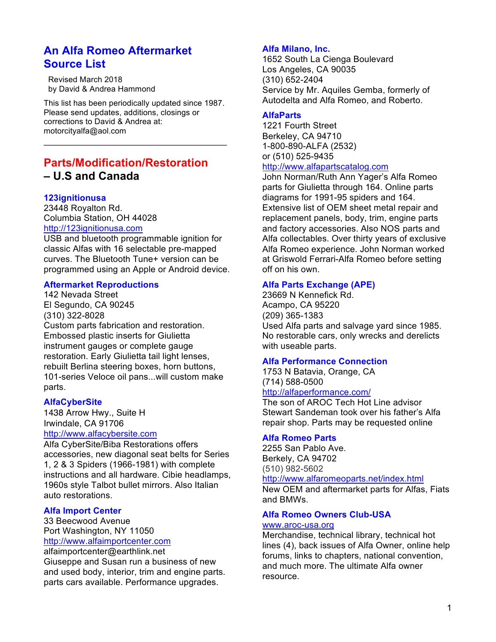# **An Alfa Romeo Aftermarket Source List**

 Revised March 2018 by David & Andrea Hammond

This list has been periodically updated since 1987. Please send updates, additions, closings or corrections to David & Andrea at: motorcityalfa@aol.com

 $\mathcal{L}_\text{max}$  , which is a set of the set of the set of the set of the set of the set of the set of the set of the set of the set of the set of the set of the set of the set of the set of the set of the set of the set of

# **Parts/Modification/Restoration – U.S and Canada**

# **123ignitionusa**

23448 Royalton Rd. Columbia Station, OH 44028 http://123ignitionusa.com

USB and bluetooth programmable ignition for classic Alfas with 16 selectable pre-mapped curves. The Bluetooth Tune+ version can be programmed using an Apple or Android device.

# **Aftermarket Reproductions**

142 Nevada Street El Segundo, CA 90245 (310) 322-8028 Custom parts fabrication and restoration. Embossed plastic inserts for Giulietta instrument gauges or complete gauge restoration. Early Giulietta tail light lenses, rebuilt Berlina steering boxes, horn buttons, 101-series Veloce oil pans...will custom make parts.

## **AlfaCyberSite**

1438 Arrow Hwy., Suite H Irwindale, CA 91706

# http://www.alfacybersite.com

Alfa CyberSite/Biba Restorations offers accessories, new diagonal seat belts for Series 1, 2 & 3 Spiders (1966-1981) with complete instructions and all hardware. Cibie headlamps, 1960s style Talbot bullet mirrors. Also Italian auto restorations.

## **Alfa Import Center**

33 Beecwood Avenue Port Washington, NY 11050 http://www.alfaimportcenter.com

alfaimportcenter@earthlink.net Giuseppe and Susan run a business of new and used body, interior, trim and engine parts. parts cars available. Performance upgrades.

#### **Alfa Milano, Inc.**

1652 South La Cienga Boulevard Los Angeles, CA 90035 (310) 652-2404 Service by Mr. Aquiles Gemba, formerly of Autodelta and Alfa Romeo, and Roberto.

# **AlfaParts**

1221 Fourth Street Berkeley, CA 94710 1-800-890-ALFA (2532) or (510) 525-9435

# http://www.alfapartscatalog.com

John Norman/Ruth Ann Yager's Alfa Romeo parts for Giulietta through 164. Online parts diagrams for 1991-95 spiders and 164. Extensive list of OEM sheet metal repair and replacement panels, body, trim, engine parts and factory accessories. Also NOS parts and Alfa collectables. Over thirty years of exclusive Alfa Romeo experience. John Norman worked at Griswold Ferrari-Alfa Romeo before setting off on his own.

#### **Alfa Parts Exchange (APE)**

23669 N Kennefick Rd. Acampo, CA 95220 (209) 365-1383 Used Alfa parts and salvage yard since 1985. No restorable cars, only wrecks and derelicts with useable parts.

#### **Alfa Performance Connection**

1753 N Batavia, Orange, CA (714) 588-0500

# http://alfaperformance.com/

The son of AROC Tech Hot Line advisor Stewart Sandeman took over his father's Alfa repair shop. Parts may be requested online

## **Alfa Romeo Parts**

2255 San Pablo Ave. Berkely, CA 94702 (510) 982-5602 http://www.alfaromeoparts.net/index.html New OEM and aftermarket parts for Alfas, Fiats and BMWs.

# **Alfa Romeo Owners Club-USA**

#### www.aroc-usa.org

Merchandise, technical library, technical hot lines (4), back issues of Alfa Owner, online help forums, links to chapters, national convention, and much more. The ultimate Alfa owner resource.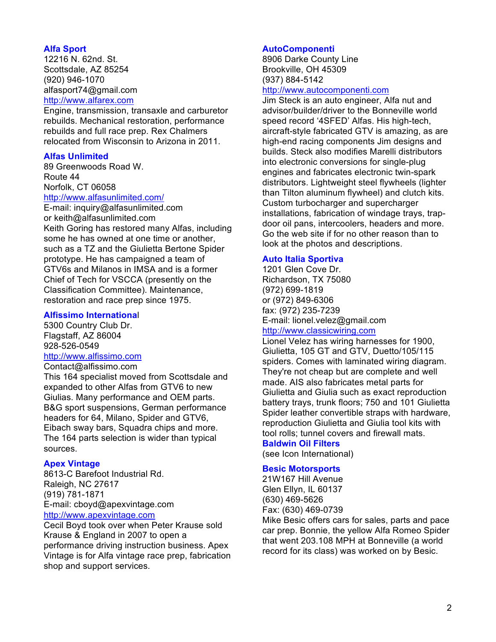# **Alfa Sport**

12216 N. 62nd. St. Scottsdale, AZ 85254 (920) 946-1070 alfasport74@gmail.com http://www.alfarex.com

Engine, transmission, transaxle and carburetor rebuilds. Mechanical restoration, performance rebuilds and full race prep. Rex Chalmers relocated from Wisconsin to Arizona in 2011.

# **Alfas Unlimited**

89 Greenwoods Road W. Route 44 Norfolk, CT 06058 http://www.alfasunlimited.com/

E-mail: inquiry@alfasunlimited.com or keith@alfasunlimited.com Keith Goring has restored many Alfas, including some he has owned at one time or another, such as a TZ and the Giulietta Bertone Spider prototype. He has campaigned a team of GTV6s and Milanos in IMSA and is a former Chief of Tech for VSCCA (presently on the Classification Committee). Maintenance, restoration and race prep since 1975.

#### **Alfissimo Internationa**l

5300 Country Club Dr. Flagstaff, AZ 86004 928-526-0549

# http://www.alfissimo.com

Contact@alfissimo.com

This 164 specialist moved from Scottsdale and expanded to other Alfas from GTV6 to new Giulias. Many performance and OEM parts. B&G sport suspensions, German performance headers for 64, Milano, Spider and GTV6, Eibach sway bars, Squadra chips and more. The 164 parts selection is wider than typical sources.

# **Apex Vintage**

8613-C Barefoot Industrial Rd. Raleigh, NC 27617 (919) 781-1871 E-mail: cboyd@apexvintage.com http://www.apexvintage.com

Cecil Boyd took over when Peter Krause sold Krause & England in 2007 to open a performance driving instruction business. Apex Vintage is for Alfa vintage race prep, fabrication shop and support services.

## **AutoComponenti**

8906 Darke County Line Brookville, OH 45309 (937) 884-5142

#### http://www.autocomponenti.com

Jim Steck is an auto engineer, Alfa nut and advisor/builder/driver to the Bonneville world speed record '4SFED' Alfas. His high-tech, aircraft-style fabricated GTV is amazing, as are high-end racing components Jim designs and builds. Steck also modifies Marelli distributors into electronic conversions for single-plug engines and fabricates electronic twin-spark distributors. Lightweight steel flywheels (lighter than Tilton aluminum flywheel) and clutch kits. Custom turbocharger and supercharger installations, fabrication of windage trays, trapdoor oil pans, intercoolers, headers and more. Go the web site if for no other reason than to look at the photos and descriptions.

# **Auto Italia Sportiva**

1201 Glen Cove Dr. Richardson, TX 75080 (972) 699-1819 or (972) 849-6306 fax: (972) 235-7239 E-mail: lionel.velez@gmail.com

# http://www.classicwiring.com

Lionel Velez has wiring harnesses for 1900, Giulietta, 105 GT and GTV, Duetto/105/115 spiders. Comes with laminated wiring diagram. They're not cheap but are complete and well made. AIS also fabricates metal parts for Giulietta and Giulia such as exact reproduction battery trays, trunk floors; 750 and 101 Giulietta Spider leather convertible straps with hardware, reproduction Giulietta and Giulia tool kits with tool rolls; tunnel covers and firewall mats.

# **Baldwin Oil Filters**

(see Icon International)

## **Besic Motorsports**

21W167 Hill Avenue Glen Ellyn, IL 60137 (630) 469-5626 Fax: (630) 469-0739

Mike Besic offers cars for sales, parts and pace car prep. Bonnie, the yellow Alfa Romeo Spider that went 203.108 MPH at Bonneville (a world record for its class) was worked on by Besic.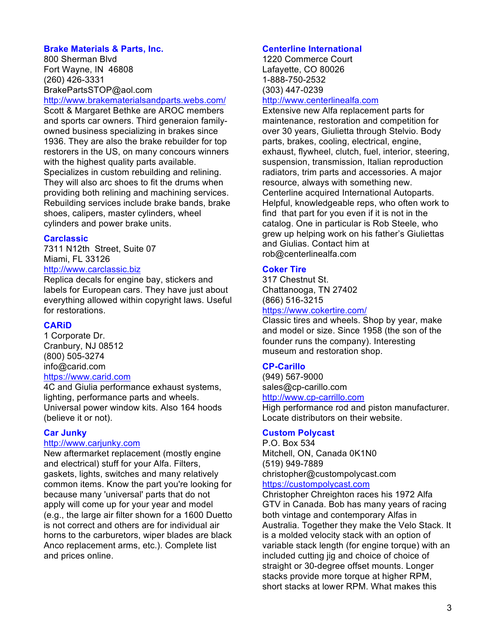# **Brake Materials & Parts, Inc.**

800 Sherman Blvd Fort Wayne, IN 46808 (260) 426-3331 BrakePartsSTOP@aol.com

http://www.brakematerialsandparts.webs.com/ Scott & Margaret Bethke are AROC members and sports car owners. Third generaion familyowned business specializing in brakes since 1936. They are also the brake rebuilder for top restorers in the US, on many concours winners with the highest quality parts available. Specializes in custom rebuilding and relining. They will also arc shoes to fit the drums when providing both relining and machining services. Rebuilding services include brake bands, brake shoes, calipers, master cylinders, wheel cylinders and power brake units.

## **Carclassic**

7311 N12th Street, Suite 07 Miami, FL 33126 http://www.carclassic.biz

Replica decals for engine bay, stickers and

labels for European cars. They have just about everything allowed within copyright laws. Useful for restorations.

# **CARiD**

1 Corporate Dr. Cranbury, NJ 08512 (800) 505-3274 info@carid.com https://www.carid.com

4C and Giulia performance exhaust systems, lighting, performance parts and wheels. Universal power window kits. Also 164 hoods (believe it or not).

## **Car Junky**

## http://www.cariunky.com

New aftermarket replacement (mostly engine and electrical) stuff for your Alfa. Filters, gaskets, lights, switches and many relatively common items. Know the part you're looking for because many 'universal' parts that do not apply will come up for your year and model (e.g., the large air filter shown for a 1600 Duetto is not correct and others are for individual air horns to the carburetors, wiper blades are black Anco replacement arms, etc.). Complete list and prices online.

# **Centerline International**

1220 Commerce Court Lafayette, CO 80026 1-888-750-2532 (303) 447-0239

# http://www.centerlinealfa.com

Extensive new Alfa replacement parts for maintenance, restoration and competition for over 30 years, Giulietta through Stelvio. Body parts, brakes, cooling, electrical, engine, exhaust, flywheel, clutch, fuel, interior, steering, suspension, transmission, Italian reproduction radiators, trim parts and accessories. A major resource, always with something new. Centerline acquired International Autoparts. Helpful, knowledgeable reps, who often work to find that part for you even if it is not in the catalog. One in particular is Rob Steele, who grew up helping work on his father's Giuliettas and Giulias. Contact him at rob@centerlinealfa.com

# **Coker Tire**

317 Chestnut St. Chattanooga, TN 27402 (866) 516-3215

# https://www.cokertire.com/

Classic tires and wheels. Shop by year, make and model or size. Since 1958 (the son of the founder runs the company). Interesting museum and restoration shop.

## **CP-Carillo**

(949) 567-9000 sales@cp-carillo.com http://www.cp-carrillo.com

High performance rod and piston manufacturer. Locate distributors on their website.

# **Custom Polycast**

P.O. Box 534 Mitchell, ON, Canada 0K1N0 (519) 949-7889 christopher@custompolycast.com https://custompolycast.com

Christopher Chreighton races his 1972 Alfa GTV in Canada. Bob has many years of racing both vintage and contemporary Alfas in Australia. Together they make the Velo Stack. It is a molded velocity stack with an option of variable stack length (for engine torque) with an included cutting jig and choice of choice of straight or 30-degree offset mounts. Longer stacks provide more torque at higher RPM. short stacks at lower RPM. What makes this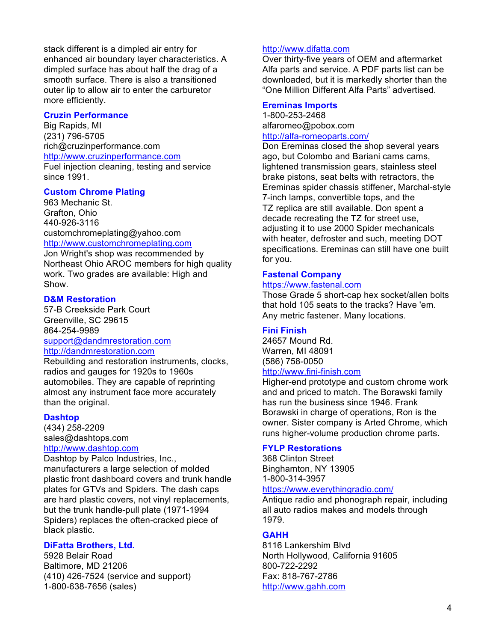stack different is a dimpled air entry for enhanced air boundary layer characteristics. A dimpled surface has about half the drag of a smooth surface. There is also a transitioned outer lip to allow air to enter the carburetor more efficiently.

# **Cruzin Performance**

Big Rapids, MI (231) 796-5705 rich@cruzinperformance.com http://www.cruzinperformance.com

Fuel injection cleaning, testing and service since 1991.

# **Custom Chrome Plating**

963 Mechanic St. Grafton, Ohio 440-926-3116 customchromeplating@yahoo.com http://www.customchromeplating.com

Jon Wright's shop was recommended by Northeast Ohio AROC members for high quality work. Two grades are available: High and Show.

## **D&M Restoration**

57-B Creekside Park Court Greenville, SC 29615 864-254-9989

#### support@dandmrestoration.com http://dandmrestoration.com

Rebuilding and restoration instruments, clocks, radios and gauges for 1920s to 1960s automobiles. They are capable of reprinting almost any instrument face more accurately than the original.

## **Dashtop**

(434) 258-2209 sales@dashtops.com http://www.dashtop.com

Dashtop by Palco Industries, Inc., manufacturers a large selection of molded plastic front dashboard covers and trunk handle plates for GTVs and Spiders. The dash caps are hard plastic covers, not vinyl replacements, but the trunk handle-pull plate (1971-1994 Spiders) replaces the often-cracked piece of black plastic.

# **DiFatta Brothers, Ltd.**

5928 Belair Road Baltimore, MD 21206 (410) 426-7524 (service and support) 1-800-638-7656 (sales)

#### http://www.difatta.com

Over thirty-five years of OEM and aftermarket Alfa parts and service. A PDF parts list can be downloaded, but it is markedly shorter than the "One Million Different Alfa Parts" advertised.

## **Ereminas Imports**

1-800-253-2468 alfaromeo@pobox.com http://alfa-romeoparts.com/

Don Ereminas closed the shop several years ago, but Colombo and Bariani cams cams, lightened transmission gears, stainless steel brake pistons, seat belts with retractors, the Ereminas spider chassis stiffener, Marchal-style 7-inch lamps, convertible tops, and the TZ replica are still available. Don spent a decade recreating the TZ for street use, adjusting it to use 2000 Spider mechanicals with heater, defroster and such, meeting DOT specifications. Ereminas can still have one built for you.

# **Fastenal Company**

# https://www.fastenal.com

Those Grade 5 short-cap hex socket/allen bolts that hold 105 seats to the tracks? Have 'em. Any metric fastener. Many locations.

## **Fini Finish**

24657 Mound Rd. Warren, MI 48091 (586) 758-0050 http://www.fini-finish.com

Higher-end prototype and custom chrome work and and priced to match. The Borawski family has run the business since 1946. Frank Borawski in charge of operations, Ron is the owner. Sister company is Arted Chrome, which runs higher-volume production chrome parts.

# **FYLP Restorations**

368 Clinton Street Binghamton, NY 13905 1-800-314-3957

#### https://www.everythingradio.com/

Antique radio and phonograph repair, including all auto radios makes and models through 1979.

## **GAHH**

8116 Lankershim Blvd North Hollywood, California 91605 800-722-2292 Fax: 818-767-2786 http://www.gahh.com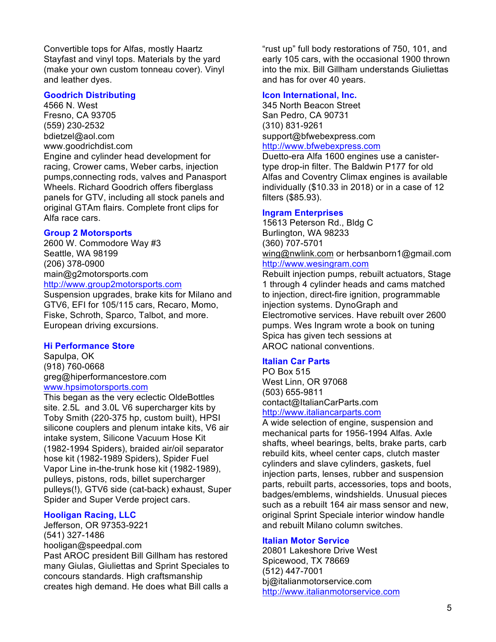Convertible tops for Alfas, mostly Haartz Stayfast and vinyl tops. Materials by the yard (make your own custom tonneau cover). Vinyl and leather dyes.

# **Goodrich Distributing**

4566 N. West Fresno, CA 93705 (559) 230-2532 bdietzel@aol.com www.goodrichdist.com Engine and cylinder head development for racing, Crower cams, Weber carbs, injection pumps,connecting rods, valves and Panasport Wheels. Richard Goodrich offers fiberglass panels for GTV, including all stock panels and original GTAm flairs. Complete front clips for Alfa race cars.

#### **Group 2 Motorsports**

2600 W. Commodore Way #3 Seattle, WA 98199 (206) 378-0900 main@g2motorsports.com http://www.group2motorsports.com

Suspension upgrades, brake kits for Milano and GTV6, EFI for 105/115 cars, Recaro, Momo, Fiske, Schroth, Sparco, Talbot, and more. European driving excursions.

#### **Hi Performance Store**

Sapulpa, OK (918) 760-0668 greg@hiperformancestore.com www.hpsimotorsports.com

This began as the very eclectic OldeBottles site. 2.5L and 3.0L V6 supercharger kits by Toby Smith (220-375 hp, custom built), HPSI silicone couplers and plenum intake kits, V6 air intake system, Silicone Vacuum Hose Kit (1982-1994 Spiders), braided air/oil separator hose kit (1982-1989 Spiders), Spider Fuel Vapor Line in-the-trunk hose kit (1982-1989), pulleys, pistons, rods, billet supercharger pulleys(!), GTV6 side (cat-back) exhaust, Super Spider and Super Verde project cars.

#### **Hooligan Racing, LLC**

Jefferson, OR 97353-9221 (541) 327-1486 hooligan@speedpal.com Past AROC president Bill Gillham has restored many Giulas, Giuliettas and Sprint Speciales to concours standards. High craftsmanship creates high demand. He does what Bill calls a

"rust up" full body restorations of 750, 101, and early 105 cars, with the occasional 1900 thrown into the mix. Bill Gillham understands Giuliettas and has for over 40 years.

#### **Icon International, Inc.**

345 North Beacon Street San Pedro, CA 90731 (310) 831-9261 support@bfwebexpress.com http://www.bfwebexpress.com

Duetto-era Alfa 1600 engines use a canistertype drop-in filter. The Baldwin P177 for old Alfas and Coventry Climax engines is available individually (\$10.33 in 2018) or in a case of 12 filters (\$85.93).

#### **Ingram Enterprises**

15613 Peterson Rd., Bldg C Burlington, WA 98233 (360) 707-5701 wing@nwlink.com or herbsanborn1@gmail.com http://www.wesingram.com

Rebuilt injection pumps, rebuilt actuators, Stage 1 through 4 cylinder heads and cams matched to injection, direct-fire ignition, programmable injection systems. DynoGraph and Electromotive services. Have rebuilt over 2600 pumps. Wes Ingram wrote a book on tuning Spica has given tech sessions at AROC national conventions.

#### **Italian Car Parts**

PO Box 515 West Linn, OR 97068 (503) 655-9811 contact@ItalianCarParts.com http://www.italiancarparts.com

A wide selection of engine, suspension and mechanical parts for 1956-1994 Alfas. Axle shafts, wheel bearings, belts, brake parts, carb rebuild kits, wheel center caps, clutch master cylinders and slave cylinders, gaskets, fuel injection parts, lenses, rubber and suspension parts, rebuilt parts, accessories, tops and boots, badges/emblems, windshields. Unusual pieces such as a rebuilt 164 air mass sensor and new, original Sprint Speciale interior window handle and rebuilt Milano column switches.

# **Italian Motor Service**

20801 Lakeshore Drive West Spicewood, TX 78669 (512) 447-7001 bj@italianmotorservice.com http://www.italianmotorservice.com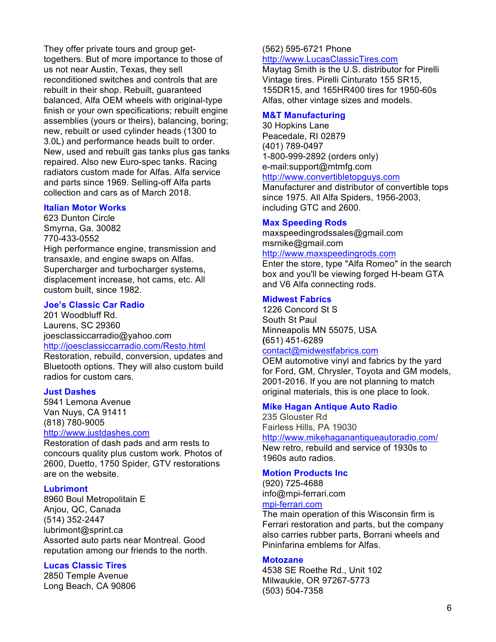They offer private tours and group gettogethers. But of more importance to those of us not near Austin, Texas, they sell reconditioned switches and controls that are rebuilt in their shop. Rebuilt, guaranteed balanced, Alfa OEM wheels with original-type finish or your own specifications; rebuilt engine assemblies (yours or theirs), balancing, boring; new, rebuilt or used cylinder heads (1300 to 3.0L) and performance heads built to order. New, used and rebuilt gas tanks plus gas tanks repaired. Also new Euro-spec tanks. Racing radiators custom made for Alfas. Alfa service and parts since 1969. Selling-off Alfa parts collection and cars as of March 2018.

#### **Italian Motor Works**

623 Dunton Circle Smyrna, Ga. 30082 770-433-0552 High performance engine, transmission and transaxle, and engine swaps on Alfas. Supercharger and turbocharger systems, displacement increase, hot cams, etc. All custom built, since 1982.

#### **Joe's Classic Car Radio**

201 Woodbluff Rd. Laurens, SC 29360 joesclassiccarradio@yahoo.com http://joesclassiccarradio.com/Resto.html

Restoration, rebuild, conversion, updates and Bluetooth options. They will also custom build radios for custom cars.

#### **Just Dashes**

5941 Lemona Avenue Van Nuys, CA 91411 (818) 780-9005

# http://www.justdashes.com

Restoration of dash pads and arm rests to concours quality plus custom work. Photos of 2600, Duetto, 1750 Spider, GTV restorations are on the website.

#### **Lubrimont**

8960 Boul Metropolitain E Anjou, QC, Canada (514) 352-2447 lubrimont@sprint.ca Assorted auto parts near Montreal. Good reputation among our friends to the north.

## **Lucas Classic Tires**

2850 Temple Avenue Long Beach, CA 90806

#### (562) 595-6721 Phone http://www.LucasClassicTires.com

Maytag Smith is the U.S. distributor for Pirelli Vintage tires. Pirelli Cinturato 155 SR15, 155DR15, and 165HR400 tires for 1950-60s Alfas, other vintage sizes and models.

#### **M&T Manufacturing**

30 Hopkins Lane Peacedale, RI 02879 (401) 789-0497 1-800-999-2892 (orders only) e-mail:support@mtmfg.com http://www.convertibletopguys.com

Manufacturer and distributor of convertible tops since 1975. All Alfa Spiders, 1956-2003, including GTC and 2600.

#### **Max Speeding Rods**

maxspeedingrodssales@gmail.com msrnike@gmail.com http://www.maxspeedingrods.com

Enter the store, type "Alfa Romeo" in the search box and you'll be viewing forged H-beam GTA and V6 Alfa connecting rods.

#### **Midwest Fabrics**

1226 Concord St S South St Paul Minneapolis MN 55075, USA **(**651) 451-6289 contact@midwestfabrics.com

OEM automotive vinyl and fabrics by the yard for Ford, GM, Chrysler, Toyota and GM models, 2001-2016. If you are not planning to match original materials, this is one place to look.

#### **Mike Hagan Antique Auto Radio**

235 Glouster Rd Fairless Hills, PA 19030 http://www.mikehaganantiqueautoradio.com/ New retro, rebuild and service of 1930s to 1960s auto radios.

#### **Motion Products Inc**

(920) 725-4688 info@mpi-ferrari.com mpi-ferrari.com

The main operation of this Wisconsin firm is Ferrari restoration and parts, but the company also carries rubber parts, Borrani wheels and Pininfarina emblems for Alfas.

#### **Motozane**

4538 SE Roethe Rd., Unit 102 Milwaukie, OR 97267-5773 (503) 504-7358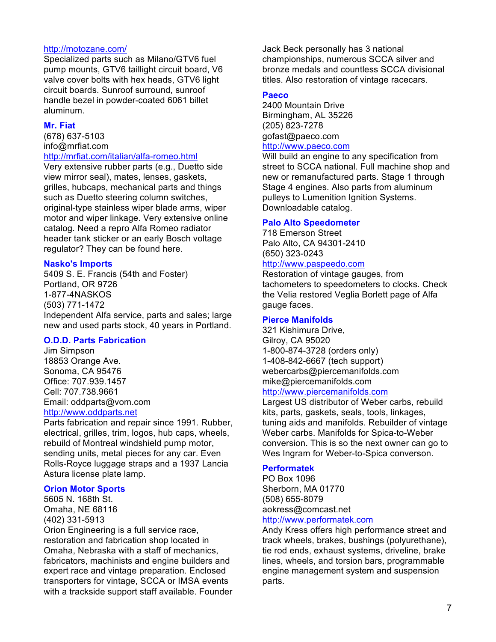#### http://motozane.com/

Specialized parts such as Milano/GTV6 fuel pump mounts, GTV6 taillight circuit board, V6 valve cover bolts with hex heads, GTV6 light circuit boards. Sunroof surround, sunroof handle bezel in powder-coated 6061 billet aluminum.

#### **Mr. Fiat**

(678) 637-5103 info@mrfiat.com

#### http://mrfiat.com/italian/alfa-romeo.html

Very extensive rubber parts (e.g., Duetto side view mirror seal), mates, lenses, gaskets, grilles, hubcaps, mechanical parts and things such as Duetto steering column switches, original-type stainless wiper blade arms, wiper motor and wiper linkage. Very extensive online catalog. Need a repro Alfa Romeo radiator header tank sticker or an early Bosch voltage regulator? They can be found here.

# **Nasko's Imports**

5409 S. E. Francis (54th and Foster) Portland, OR 9726 1-877-4NASKOS (503) 771-1472 Independent Alfa service, parts and sales; large new and used parts stock, 40 years in Portland.

## **O.D.D. Parts Fabrication**

Jim Simpson 18853 Orange Ave. Sonoma, CA 95476 Office: 707.939.1457 Cell: 707.738.9661 Email: oddparts@vom.com http://www.oddparts.net

Parts fabrication and repair since 1991. Rubber, electrical, grilles, trim, logos, hub caps, wheels, rebuild of Montreal windshield pump motor, sending units, metal pieces for any car. Even Rolls-Royce luggage straps and a 1937 Lancia Astura license plate lamp.

## **Orion Motor Sports**

5605 N. 168th St. Omaha, NE 68116 (402) 331-5913 Orion Engineering is a full service race,

restoration and fabrication shop located in Omaha, Nebraska with a staff of mechanics, fabricators, machinists and engine builders and expert race and vintage preparation. Enclosed transporters for vintage, SCCA or IMSA events with a trackside support staff available. Founder Jack Beck personally has 3 national championships, numerous SCCA silver and bronze medals and countless SCCA divisional titles. Also restoration of vintage racecars.

# **Paeco**

2400 Mountain Drive Birmingham, AL 35226 (205) 823-7278 gofast@paeco.com http://www.paeco.com

Will build an engine to any specification from street to SCCA national. Full machine shop and new or remanufactured parts. Stage 1 through Stage 4 engines. Also parts from aluminum pulleys to Lumenition Ignition Systems. Downloadable catalog.

#### **Palo Alto Speedometer**

718 Emerson Street Palo Alto, CA 94301-2410 (650) 323-0243

# http://www.paspeedo.com

Restoration of vintage gauges, from tachometers to speedometers to clocks. Check the Velia restored Veglia Borlett page of Alfa gauge faces.

#### **Pierce Manifolds**

321 Kishimura Drive, Gilroy, CA 95020 1-800-874-3728 (orders only) 1-408-842-6667 (tech support) webercarbs@piercemanifolds.com mike@piercemanifolds.com

#### http://www.piercemanifolds.com

Largest US distributor of Weber carbs, rebuild kits, parts, gaskets, seals, tools, linkages, tuning aids and manifolds. Rebuilder of vintage Weber carbs. Manifolds for Spica-to-Weber conversion. This is so the next owner can go to Wes Ingram for Weber-to-Spica converson.

# **Performatek**

PO Box 1096 Sherborn, MA 01770 (508) 655-8079 aokress@comcast.net http://www.performatek.com

Andy Kress offers high performance street and track wheels, brakes, bushings (polyurethane), tie rod ends, exhaust systems, driveline, brake lines, wheels, and torsion bars, programmable engine management system and suspension parts.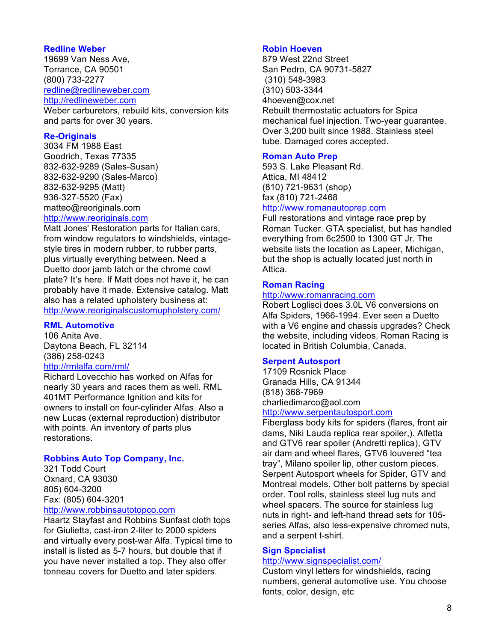# **Redline Weber**

19699 Van Ness Ave, Torrance, CA 90501 (800) 733-2277 redline@redlineweber.com http://redlineweber.com

Weber carburetors, rebuild kits, conversion kits and parts for over 30 years.

# **Re-Originals**

3034 FM 1988 East Goodrich, Texas 77335 832-632-9289 (Sales-Susan) 832-632-9290 (Sales-Marco) 832-632-9295 (Matt) 936-327-5520 (Fax) matteo@reoriginals.com http://www.reoriginals.com

Matt Jones' Restoration parts for Italian cars, from window regulators to windshields, vintagestyle tires in modern rubber, to rubber parts, plus virtually everything between. Need a Duetto door jamb latch or the chrome cowl plate? It's here. If Matt does not have it, he can probably have it made. Extensive catalog. Matt also has a related upholstery business at: http://www.reoriginalscustomupholstery.com/

# **RML Automotive**

106 Anita Ave. Daytona Beach, FL 32114 (386) 258-0243

# http://rmlalfa.com/rml/

Richard Lovecchio has worked on Alfas for nearly 30 years and races them as well. RML 401MT Performance Ignition and kits for owners to install on four-cylinder Alfas. Also a new Lucas (external reproduction) distributor with points. An inventory of parts plus restorations.

## **Robbins Auto Top Company, Inc.**

321 Todd Court Oxnard, CA 93030 805) 604-3200 Fax: (805) 604-3201

# http://www.robbinsautotopco.com

Haartz Stayfast and Robbins Sunfast cloth tops for Giulietta, cast-iron 2-liter to 2000 spiders and virtually every post-war Alfa. Typical time to install is listed as 5-7 hours, but double that if you have never installed a top. They also offer tonneau covers for Duetto and later spiders.

## **Robin Hoeven**

879 West 22nd Street San Pedro, CA 90731-5827 (310) 548-3983 (310) 503-3344 4hoeven@cox.net Rebuilt thermostatic actuators for Spica mechanical fuel injection. Two-year guarantee. Over 3,200 built since 1988. Stainless steel tube. Damaged cores accepted.

# **Roman Auto Prep**

593 S. Lake Pleasant Rd. Attica, MI 48412 (810) 721-9631 (shop) fax (810) 721-2468

# http://www.romanautoprep.com

Full restorations and vintage race prep by Roman Tucker. GTA specialist, but has handled everything from 6c2500 to 1300 GT Jr. The website lists the location as Lapeer, Michigan, but the shop is actually located just north in Attica.

## **Roman Racing**

# http://www.romanracing.com

Robert Loglisci does 3.0L V6 conversions on Alfa Spiders, 1966-1994. Ever seen a Duetto with a V6 engine and chassis upgrades? Check the website, including videos. Roman Racing is located in British Columbia, Canada.

# **Serpent Autosport**

17109 Rosnick Place Granada Hills, CA 91344 (818) 368-7969 charliedimarco@aol.com

http://www.serpentautosport.com

Fiberglass body kits for spiders (flares, front air dams, Niki Lauda replica rear spoiler,). Alfetta and GTV6 rear spoiler (Andretti replica), GTV air dam and wheel flares, GTV6 louvered "tea tray", Milano spoiler lip, other custom pieces. Serpent Autosport wheels for Spider, GTV and Montreal models. Other bolt patterns by special order. Tool rolls, stainless steel lug nuts and wheel spacers. The source for stainless lug nuts in right- and left-hand thread sets for 105 series Alfas, also less-expensive chromed nuts, and a serpent t-shirt.

## **Sign Specialist**

## http://www.signspecialist.com/

Custom vinyl letters for windshields, racing numbers, general automotive use. You choose fonts, color, design, etc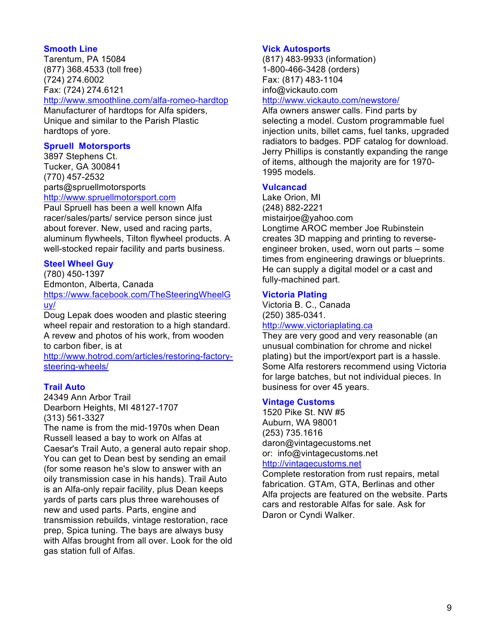# **Smooth Line**

Tarentum, PA 15084 (877) 368.4533 (toll free) (724) 274.6002 Fax: (724) 274.6121

http://www.smoothline.com/alfa-romeo-hardtop

Manufacturer of hardtops for Alfa spiders, Unique and similar to the Parish Plastic hardtops of yore.

# **Spruell Motorsports**

3897 Stephens Ct. Tucker, GA 300841 (770) 457-2532 parts@spruellmotorsports http://www.spruellmotorsport.com

Paul Spruell has been a well known Alfa racer/sales/parts/ service person since just about forever. New, used and racing parts, aluminum flywheels, Tilton flywheel products. A well-stocked repair facility and parts business.

# **Steel Wheel Guy**

(780) 450-1397 Edmonton, Alberta, Canada

https://www.facebook.com/TheSteeringWheelG uy/

Doug Lepak does wooden and plastic steering wheel repair and restoration to a high standard. A revew and photos of his work, from wooden to carbon fiber, is at

http://www.hotrod.com/articles/restoring-factorysteering-wheels/

# **Trail Auto**

24349 Ann Arbor Trail Dearborn Heights, MI 48127-1707 (313) 561-3327

The name is from the mid-1970s when Dean Russell leased a bay to work on Alfas at Caesar's Trail Auto, a general auto repair shop. You can get to Dean best by sending an email (for some reason he's slow to answer with an oily transmission case in his hands). Trail Auto is an Alfa-only repair facility, plus Dean keeps yards of parts cars plus three warehouses of new and used parts. Parts, engine and transmission rebuilds, vintage restoration, race prep, Spica tuning. The bays are always busy with Alfas brought from all over. Look for the old gas station full of Alfas.

# **Vick Autosports**

(817) 483-9933 (information) 1-800-466-3428 (orders) Fax: (817) 483-1104 info@vickauto.com

#### http://www.vickauto.com/newstore/

Alfa owners answer calls. Find parts by selecting a model. Custom programmable fuel injection units, billet cams, fuel tanks, upgraded radiators to badges. PDF catalog for download. Jerry Phillips is constantly expanding the range of items, although the majority are for 1970- 1995 models.

# **Vulcancad**

Lake Orion, MI (248) 882-2221 mistairjoe@yahoo.com Longtime AROC member Joe Rubinstein creates 3D mapping and printing to reverseengineer broken, used, worn out parts – some times from engineering drawings or blueprints. He can supply a digital model or a cast and fully-machined part.

# **Victoria Plating**

Victoria B. C., Canada (250) 385-0341. http://www.victoriaplating.ca

They are very good and very reasonable (an unusual combination for chrome and nickel plating) but the import/export part is a hassle. Some Alfa restorers recommend using Victoria for large batches, but not individual pieces. In business for over 45 years.

## **Vintage Customs**

1520 Pike St. NW #5 Auburn, WA 98001 (253) 735.1616 daron@vintagecustoms.net or: info@vintagecustoms.net http://vintagecustoms.net

Complete restoration from rust repairs, metal fabrication. GTAm, GTA, Berlinas and other Alfa projects are featured on the website. Parts cars and restorable Alfas for sale. Ask for Daron or Cyndi Walker.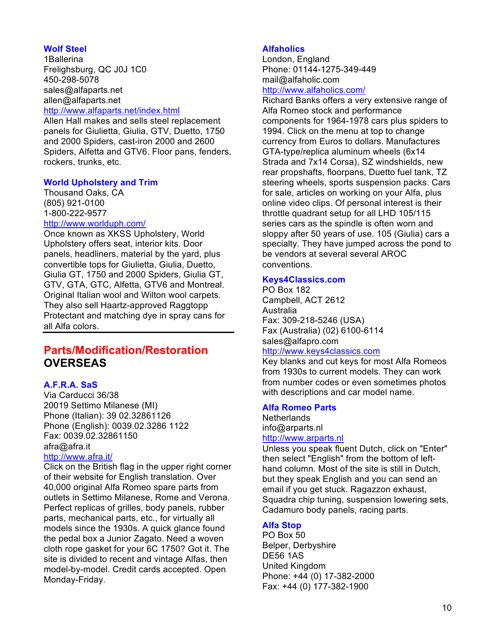# **Wolf Steel**

1Ballerina Frelighsburg, QC J0J 1C0 450-298-5078 sales@alfaparts.net allen@alfaparts.net http://www.alfaparts.net/index.html

Allen Hall makes and sells steel replacement panels for Giulietta, Giulia, GTV, Duetto, 1750 and 2000 Spiders, cast-iron 2000 and 2600 Spiders, Alfetta and GTV6. Floor pans, fenders, rockers, trunks, etc.

# **World Upholstery and Trim**

Thousand Oaks, CA (805) 921-0100 1-800-222-9577 http://www.worlduph.com/

Once known as XKSS Upholstery, World Upholstery offers seat, interior kits. Door panels, headliners, material by the yard, plus convertible tops for Giulietta, Giulia, Duetto, Giulia GT, 1750 and 2000 Spiders, Giulia GT, GTV, GTA, GTC, Alfetta, GTV6 and Montreal. Original Italian wool and Wilton wool carpets. They also sell Haartz-approved Raggtopp Protectant and matching dye in spray cans for all Alfa colors.

# **Parts/Modification/Restoration OVERSEAS**

# **A.F.R.A. SaS**

Via Carducci 36/38 20019 Settimo Milanese (MI) Phone (Italian): 39 02.32861126 Phone (English): 0039.02.3286 1122 Fax: 0039.02.32861150 afra@afra.it

#### http://www.afra.it/

Click on the British flag in the upper right corner of their website for English translation. Over 40,000 original Alfa Romeo spare parts from outlets in Settimo Milanese, Rome and Verona. Perfect replicas of grilles, body panels, rubber parts, mechanical parts, etc., for virtually all models since the 1930s. A quick glance found the pedal box a Junior Zagato. Need a woven cloth rope gasket for your 6C 1750? Got it. The site is divided to recent and vintage Alfas, then model-by-model. Credit cards accepted. Open Monday-Friday.

# **Alfaholics**

London, England Phone: 01144-1275-349-449 mail@alfaholic.com

# http://www.alfaholics.com/

Richard Banks offers a very extensive range of Alfa Romeo stock and performance components for 1964-1978 cars plus spiders to 1994. Click on the menu at top to change currency from Euros to dollars. Manufactures GTA-type/replica aluminum wheels (6x14 Strada and 7x14 Corsa), SZ windshields, new rear propshafts, floorpans, Duetto fuel tank, TZ steering wheels, sports suspension packs. Cars for sale, articles on working on your Alfa, plus online video clips. Of personal interest is their throttle quadrant setup for all LHD 105/115 series cars as the spindle is often worn and sloppy after 50 years of use. 105 (Giulia) cars a specialty. They have jumped across the pond to be vendors at several several AROC conventions.

## **Keys4Classics.com**

PO Box 182

Campbell, ACT 2612 Australia Fax: 309-218-5246 (USA) Fax (Australia) (02) 6100-6114 sales@alfapro.com

#### http://www.keys4classics.com

Key blanks and cut keys for most Alfa Romeos from 1930s to current models. They can work from number codes or even sometimes photos with descriptions and car model name.

#### **Alfa Romeo Parts**

Netherlands info@arparts.nl http://www.arparts.nl

Unless you speak fluent Dutch, click on "Enter" then select "English" from the bottom of lefthand column. Most of the site is still in Dutch, but they speak English and you can send an email if you get stuck. Ragazzon exhaust, Squadra chip tuning, suspension lowering sets, Cadamuro body panels, racing parts.

## **Alfa Stop**

PO Box 50 Belper, Derbyshire DE56 1AS United Kingdom Phone: +44 (0) 17-382-2000 Fax: +44 (0) 177-382-1900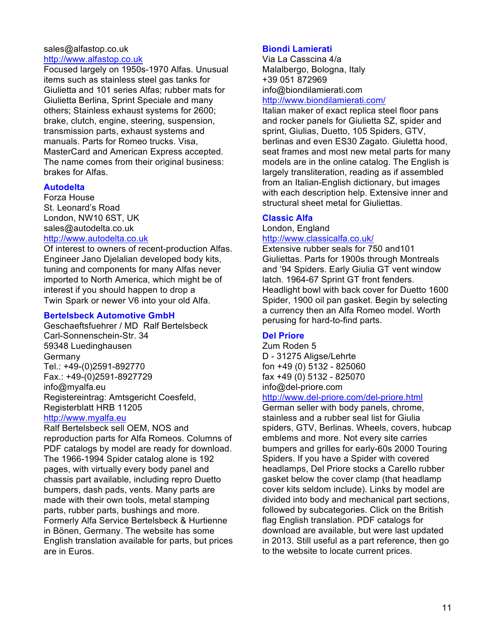# sales@alfastop.co.uk http://www.alfastop.co.uk

Focused largely on 1950s-1970 Alfas. Unusual items such as stainless steel gas tanks for Giulietta and 101 series Alfas; rubber mats for Giulietta Berlina, Sprint Speciale and many others; Stainless exhaust systems for 2600; brake, clutch, engine, steering, suspension, transmission parts, exhaust systems and manuals. Parts for Romeo trucks. Visa, MasterCard and American Express accepted. The name comes from their original business: brakes for Alfas.

# **Autodelta**

Forza House St. Leonard's Road London, NW10 6ST, UK sales@autodelta.co.uk

# http://www.autodelta.co.uk

Of interest to owners of recent-production Alfas. Engineer Jano Djelalian developed body kits, tuning and components for many Alfas never imported to North America, which might be of interest if you should happen to drop a Twin Spark or newer V6 into your old Alfa.

# **Bertelsbeck Automotive GmbH**

Geschaeftsfuehrer / MD Ralf Bertelsbeck Carl-Sonnenschein-Str. 34 59348 Luedinghausen Germany Tel.: +49-(0)2591-892770 Fax.: +49-(0)2591-8927729 info@myalfa.eu Registereintrag: Amtsgericht Coesfeld, Registerblatt HRB 11205 http://www.myalfa.eu

Ralf Bertelsbeck sell OEM, NOS and reproduction parts for Alfa Romeos. Columns of PDF catalogs by model are ready for download. The 1966-1994 Spider catalog alone is 192 pages, with virtually every body panel and chassis part available, including repro Duetto bumpers, dash pads, vents. Many parts are made with their own tools, metal stamping parts, rubber parts, bushings and more. Formerly Alfa Service Bertelsbeck & Hurtienne in Bönen, Germany. The website has some English translation available for parts, but prices are in Euros.

# **Biondi Lamierati**

Via La Casscina 4/a Malalbergo, Bologna, Italy +39 051 872969 info@biondilamierati.com

# http://www.biondilamierati.com/

Italian maker of exact replica steel floor pans and rocker panels for Giulietta SZ, spider and sprint, Giulias, Duetto, 105 Spiders, GTV, berlinas and even ES30 Zagato. Giuletta hood, seat frames and most new metal parts for many models are in the online catalog. The English is largely transliteration, reading as if assembled from an Italian-English dictionary, but images with each description help. Extensive inner and structural sheet metal for Giuliettas.

# **Classic Alfa**

London, England

# http://www.classicalfa.co.uk/

Extensive rubber seals for 750 and101 Giuliettas. Parts for 1900s through Montreals and '94 Spiders. Early Giulia GT vent window latch. 1964-67 Sprint GT front fenders. Headlight bowl with back cover for Duetto 1600 Spider, 1900 oil pan gasket. Begin by selecting a currency then an Alfa Romeo model. Worth perusing for hard-to-find parts.

# **Del Priore**

Zum Roden 5 D - 31275 Aligse/Lehrte fon +49 (0) 5132 - 825060 fax +49 (0) 5132 - 825070 info@del-priore.com

# http://www.del-priore.com/del-priore.html

German seller with body panels, chrome, stainless and a rubber seal list for Giulia spiders, GTV, Berlinas. Wheels, covers, hubcap emblems and more. Not every site carries bumpers and grilles for early-60s 2000 Touring Spiders. If you have a Spider with covered headlamps, Del Priore stocks a Carello rubber gasket below the cover clamp (that headlamp cover kits seldom include). Links by model are divided into body and mechanical part sections, followed by subcategories. Click on the British flag English translation. PDF catalogs for download are available, but were last updated in 2013. Still useful as a part reference, then go to the website to locate current prices.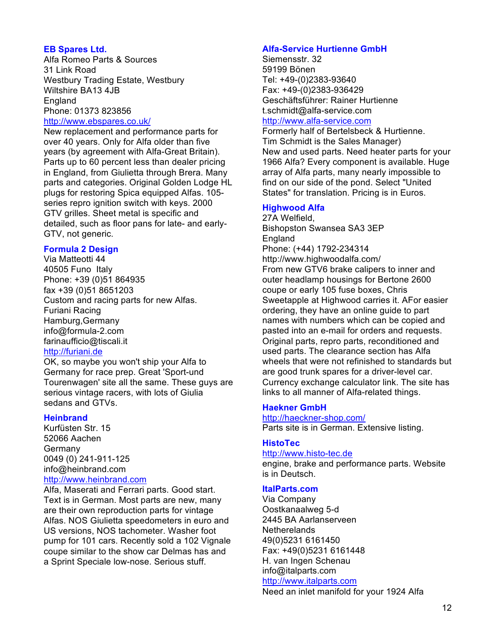# **EB Spares Ltd.**

Alfa Romeo Parts & Sources 31 Link Road Westbury Trading Estate, Westbury Wiltshire BA13 4JB England Phone: 01373 823856 http://www.ebspares.co.uk/

New replacement and performance parts for over 40 years. Only for Alfa older than five years (by agreement with Alfa-Great Britain). Parts up to 60 percent less than dealer pricing in England, from Giulietta through Brera. Many parts and categories. Original Golden Lodge HL plugs for restoring Spica equipped Alfas. 105 series repro ignition switch with keys. 2000 GTV grilles. Sheet metal is specific and detailed, such as floor pans for late- and early-GTV, not generic.

# **Formula 2 Design**

Via Matteotti 44 40505 Funo Italy Phone: +39 (0)51 864935 fax +39 (0)51 8651203 Custom and racing parts for new Alfas. Furiani Racing Hamburg,Germany info@formula-2.com farinaufficio@tiscali.it http://furiani.de

OK, so maybe you won't ship your Alfa to Germany for race prep. Great 'Sport-und Tourenwagen' site all the same. These guys are serious vintage racers, with lots of Giulia sedans and GTVs.

# **Heinbrand**

Kurfüsten Str. 15 52066 Aachen Germany 0049 (0) 241-911-125 info@heinbrand.com http://www.heinbrand.com

Alfa, Maserati and Ferrari parts. Good start. Text is in German. Most parts are new, many are their own reproduction parts for vintage Alfas. NOS Giulietta speedometers in euro and US versions, NOS tachometer. Washer foot pump for 101 cars. Recently sold a 102 Vignale coupe similar to the show car Delmas has and a Sprint Speciale low-nose. Serious stuff.

# **Alfa-Service Hurtienne GmbH**

Siemensstr. 32 59199 Bönen Tel: +49-(0)2383-93640 Fax: +49-(0)2383-936429 Geschäftsführer: Rainer Hurtienne t.schmidt@alfa-service.com

# http://www.alfa-service.com

Formerly half of Bertelsbeck & Hurtienne. Tim Schmidt is the Sales Manager) New and used parts. Need heater parts for your 1966 Alfa? Every component is available. Huge array of Alfa parts, many nearly impossible to find on our side of the pond. Select "United States" for translation. Pricing is in Euros.

# **Highwood Alfa**

27A Welfield, Bishopston Swansea SA3 3EP England Phone: (+44) 1792-234314 http://www.highwoodalfa.com/ From new GTV6 brake calipers to inner and outer headlamp housings for Bertone 2600 coupe or early 105 fuse boxes, Chris Sweetapple at Highwood carries it. AFor easier ordering, they have an online guide to part names with numbers which can be copied and pasted into an e-mail for orders and requests. Original parts, repro parts, reconditioned and used parts. The clearance section has Alfa wheels that were not refinished to standards but are good trunk spares for a driver-level car. Currency exchange calculator link. The site has links to all manner of Alfa-related things.

# **Haekner GmbH**

http://haeckner-shop.com/ Parts site is in German. Extensive listing.

# **HistoTec**

#### http://www.histo-tec.de

engine, brake and performance parts. Website is in Deutsch.

## **ItalParts.com**

Via Company Oostkanaalweg 5-d 2445 BA Aarlanserveen **Netherelands** 49(0)5231 6161450 Fax: +49(0)5231 6161448 H. van Ingen Schenau info@italparts.com http://www.italparts.com

Need an inlet manifold for your 1924 Alfa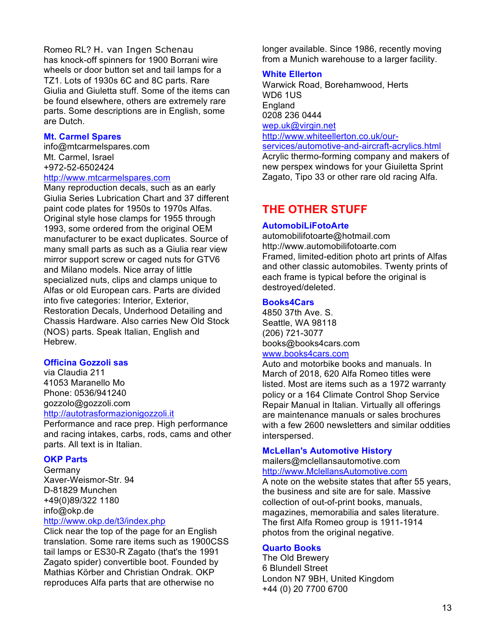Romeo RL? H. van Ingen Schenau has knock-off spinners for 1900 Borrani wire wheels or door button set and tail lamps for a TZ1. Lots of 1930s 6C and 8C parts. Rare Giulia and Giuletta stuff. Some of the items can be found elsewhere, others are extremely rare parts. Some descriptions are in English, some are Dutch.

#### **Mt. Carmel Spares**

info@mtcarmelspares.com Mt. Carmel, Israel +972-52-6502424

# http://www.mtcarmelspares.com

Many reproduction decals, such as an early Giulia Series Lubrication Chart and 37 different paint code plates for 1950s to 1970s Alfas. Original style hose clamps for 1955 through 1993, some ordered from the original OEM manufacturer to be exact duplicates. Source of many small parts as such as a Giulia rear view mirror support screw or caged nuts for GTV6 and Milano models. Nice array of little specialized nuts, clips and clamps unique to Alfas or old European cars. Parts are divided into five categories: Interior, Exterior, Restoration Decals, Underhood Detailing and Chassis Hardware. Also carries New Old Stock (NOS) parts. Speak Italian, English and **Hebrew** 

# **Officina Gozzoli sas**

via Claudia 211 41053 Maranello Mo Phone: 0536/941240 gozzolo@gozzoli.com http://autotrasformazionigozzoli.it

Performance and race prep. High performance and racing intakes, carbs, rods, cams and other parts. All text is in Italian.

# **OKP Parts**

Germany Xaver-Weismor-Str. 94 D-81829 Munchen +49(0)89/322 1180 info@okp.de

# http://www.okp.de/t3/index.php

Click near the top of the page for an English translation. Some rare items such as 1900CSS tail lamps or ES30-R Zagato (that's the 1991 Zagato spider) convertible boot. Founded by Mathias Körber and Christian Ondrak. OKP reproduces Alfa parts that are otherwise no

longer available. Since 1986, recently moving from a Munich warehouse to a larger facility.

#### **White Ellerton**

Warwick Road, Borehamwood, Herts WD6 1US England 0208 236 0444 wep.uk@virgin.net http://www.whiteellerton.co.uk/ourservices/automotive-and-aircraft-acrylics.html

Acrylic thermo-forming company and makers of new perspex windows for your Giuiletta Sprint Zagato, Tipo 33 or other rare old racing Alfa.

# **THE OTHER STUFF**

#### **AutomobiLiFotoArte**

automobilifotoarte@hotmail.com http://www.automobilifotoarte.com Framed, limited-edition photo art prints of Alfas and other classic automobiles. Twenty prints of each frame is typical before the original is destroyed/deleted.

#### **Books4Cars**

4850 37th Ave. S. Seattle, WA 98118 (206) 721-3077 books@books4cars.com

# www.books4cars.com

Auto and motorbike books and manuals. In March of 2018, 620 Alfa Romeo titles were listed. Most are items such as a 1972 warranty policy or a 164 Climate Control Shop Service Repair Manual in Italian. Virtually all offerings are maintenance manuals or sales brochures with a few 2600 newsletters and similar oddities interspersed.

#### **McLellan's Automotive History**

mailers@mclellansautomotive.com http://www.MclellansAutomotive.com

A note on the website states that after 55 years, the business and site are for sale. Massive collection of out-of-print books, manuals, magazines, memorabilia and sales literature. The first Alfa Romeo group is 1911-1914 photos from the original negative.

#### **Quarto Books**

The Old Brewery 6 Blundell Street London N7 9BH, United Kingdom +44 (0) 20 7700 6700